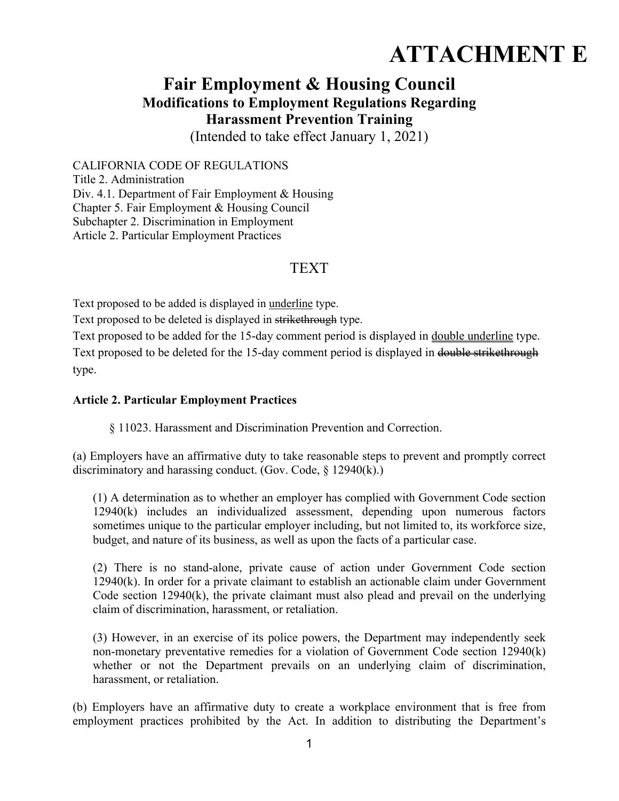## **ATTACHMENT E**

## **Fair Employment & Housing Council Modifications to Employment Regulations Regarding Harassment Prevention Training**

(Intended to take effect January 1, 2021)

CALIFORNIA CODE OF REGULATIONS Title 2. Administration Div. 4.1. Department of Fair Employment & Housing Chapter 5. Fair Employment & Housing Council Subchapter 2. Discrimination in Employment Article 2. Particular Employment Practices

## TEXT

Text proposed to be added is displayed in underline type.

Text proposed to be deleted is displayed in strikethrough type.

Text proposed to be added for the 15-day comment period is displayed in double underline type. Text proposed to be deleted for the 15-day comment period is displayed in double strikethrough type.

## **Article 2. Particular Employment Practices**

§ 11023. Harassment and Discrimination Prevention and Correction.

(a) Employers have an affirmative duty to take reasonable steps to prevent and promptly correct discriminatory and harassing conduct. (Gov. Code, § 12940(k).)

(1) A determination as to whether an employer has complied with Government Code section 12940(k) includes an individualized assessment, depending upon numerous factors sometimes unique to the particular employer including, but not limited to, its workforce size, budget, and nature of its business, as well as upon the facts of a particular case.

(2) There is no stand-alone, private cause of action under Government Code section 12940(k). In order for a private claimant to establish an actionable claim under Government Code section 12940(k), the private claimant must also plead and prevail on the underlying claim of discrimination, harassment, or retaliation.

(3) However, in an exercise of its police powers, the Department may independently seek non-monetary preventative remedies for a violation of Government Code section 12940(k) whether or not the Department prevails on an underlying claim of discrimination, harassment, or retaliation.

(b) Employers have an affirmative duty to create a workplace environment that is free from employment practices prohibited by the Act. In addition to distributing the Department's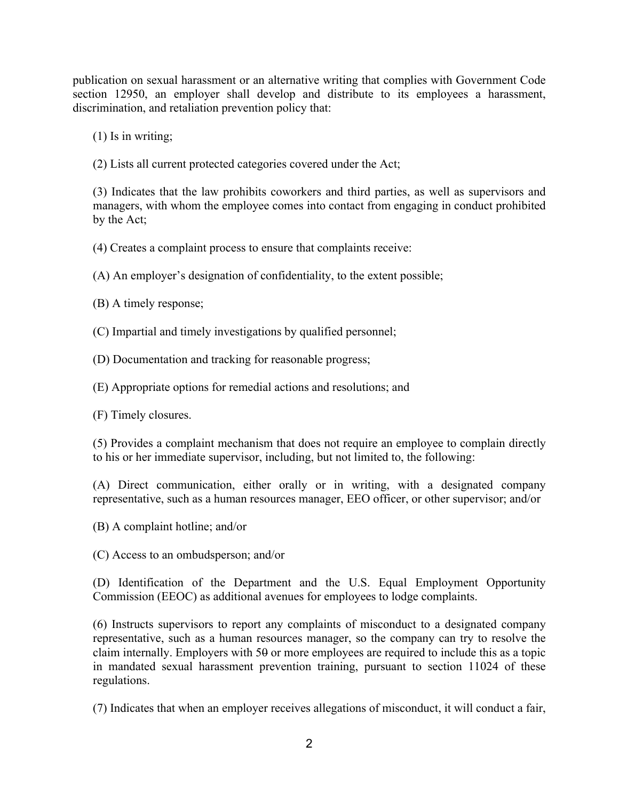publication on sexual harassment or an alternative writing that complies with Government Code section 12950, an employer shall develop and distribute to its employees a harassment, discrimination, and retaliation prevention policy that:

(1) Is in writing;

(2) Lists all current protected categories covered under the Act;

(3) Indicates that the law prohibits coworkers and third parties, as well as supervisors and managers, with whom the employee comes into contact from engaging in conduct prohibited by the Act;

(4) Creates a complaint process to ensure that complaints receive:

(A) An employer's designation of confidentiality, to the extent possible;

(B) A timely response;

(C) Impartial and timely investigations by qualified personnel;

(D) Documentation and tracking for reasonable progress;

(E) Appropriate options for remedial actions and resolutions; and

(F) Timely closures.

(5) Provides a complaint mechanism that does not require an employee to complain directly to his or her immediate supervisor, including, but not limited to, the following:

(A) Direct communication, either orally or in writing, with a designated company representative, such as a human resources manager, EEO officer, or other supervisor; and/or

(B) A complaint hotline; and/or

(C) Access to an ombudsperson; and/or

(D) Identification of the Department and the U.S. Equal Employment Opportunity Commission (EEOC) as additional avenues for employees to lodge complaints.

(6) Instructs supervisors to report any complaints of misconduct to a designated company representative, such as a human resources manager, so the company can try to resolve the claim internally. Employers with  $50$  or more employees are required to include this as a topic in mandated sexual harassment prevention training, pursuant to section 11024 of these regulations.

(7) Indicates that when an employer receives allegations of misconduct, it will conduct a fair,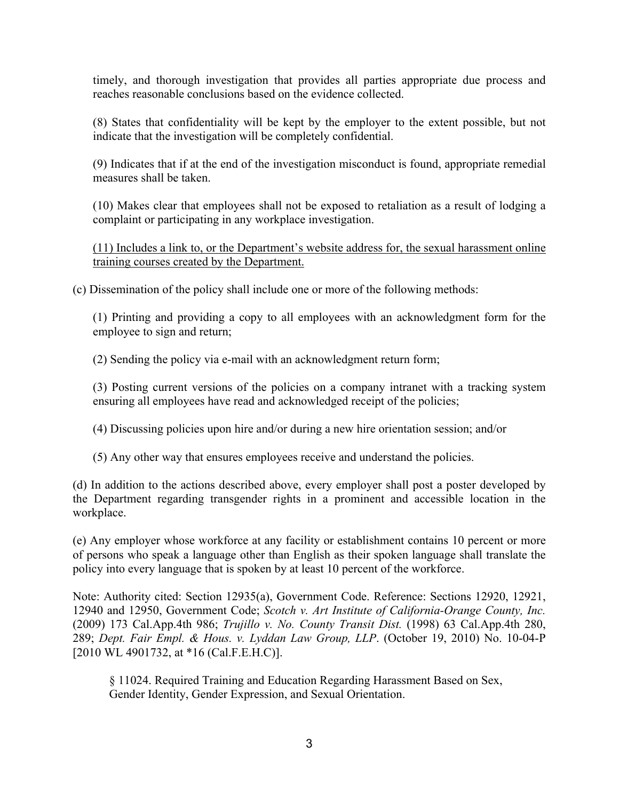timely, and thorough investigation that provides all parties appropriate due process and reaches reasonable conclusions based on the evidence collected.

(8) States that confidentiality will be kept by the employer to the extent possible, but not indicate that the investigation will be completely confidential.

(9) Indicates that if at the end of the investigation misconduct is found, appropriate remedial measures shall be taken.

(10) Makes clear that employees shall not be exposed to retaliation as a result of lodging a complaint or participating in any workplace investigation.

(11) Includes a link to, or the Department's website address for, the sexual harassment online training courses created by the Department.

(c) Dissemination of the policy shall include one or more of the following methods:

(1) Printing and providing a copy to all employees with an acknowledgment form for the employee to sign and return;

(2) Sending the policy via e-mail with an acknowledgment return form;

(3) Posting current versions of the policies on a company intranet with a tracking system ensuring all employees have read and acknowledged receipt of the policies;

(4) Discussing policies upon hire and/or during a new hire orientation session; and/or

(5) Any other way that ensures employees receive and understand the policies.

(d) In addition to the actions described above, every employer shall post a poster developed by the Department regarding transgender rights in a prominent and accessible location in the workplace.

(e) Any employer whose workforce at any facility or establishment contains 10 percent or more of persons who speak a language other than English as their spoken language shall translate the policy into every language that is spoken by at least 10 percent of the workforce.

Note: Authority cited: Section 12935(a), Government Code. Reference: Sections 12920, 12921, 12940 and 12950, Government Code; *Scotch v. Art Institute of California-Orange County, Inc.* (2009) 173 Cal.App.4th 986; *Trujillo v. No. County Transit Dist.* (1998) 63 Cal.App.4th 280, 289; *Dept. Fair Empl. & Hous. v. Lyddan Law Group, LLP*. (October 19, 2010) No. 10-04-P [2010 WL 4901732, at \*16 (Cal.F.E.H.C)].

§ 11024. Required Training and Education Regarding Harassment Based on Sex, Gender Identity, Gender Expression, and Sexual Orientation.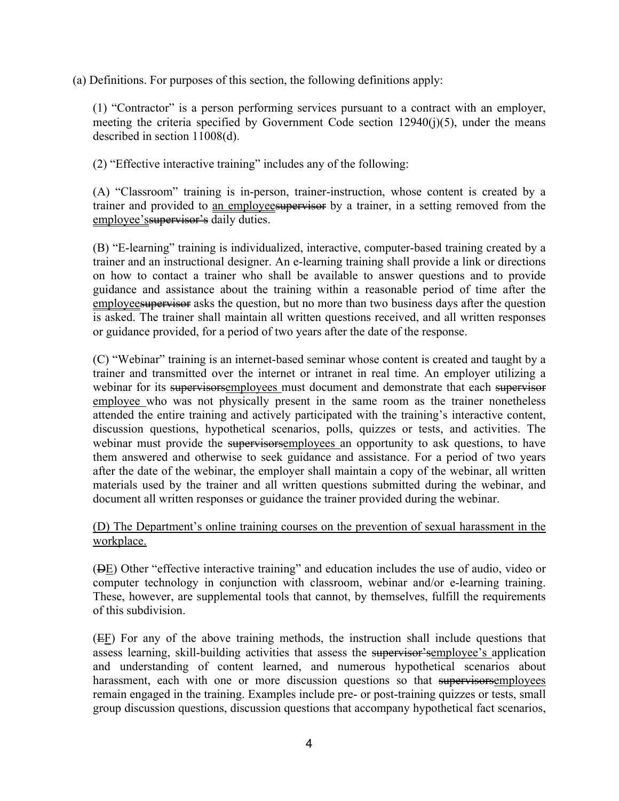(a) Definitions. For purposes of this section, the following definitions apply:

(1) "Contractor" is a person performing services pursuant to a contract with an employer, meeting the criteria specified by Government Code section  $12940(j)(5)$ , under the means described in section 11008(d).

(2) "Effective interactive training" includes any of the following:

(A) "Classroom" training is in-person, trainer-instruction, whose content is created by a trainer and provided to an employeesupervisor by a trainer, in a setting removed from the employee's supervisor's daily duties.

(B) "E-learning" training is individualized, interactive, computer-based training created by a trainer and an instructional designer. An e-learning training shall provide a link or directions on how to contact a trainer who shall be available to answer questions and to provide guidance and assistance about the training within a reasonable period of time after the employees upervisor asks the question, but no more than two business days after the question is asked. The trainer shall maintain all written questions received, and all written responses or guidance provided, for a period of two years after the date of the response.

(C) "Webinar" training is an internet-based seminar whose content is created and taught by a trainer and transmitted over the internet or intranet in real time. An employer utilizing a webinar for its supervisorsemployees must document and demonstrate that each supervisor employee who was not physically present in the same room as the trainer nonetheless attended the entire training and actively participated with the training's interactive content, discussion questions, hypothetical scenarios, polls, quizzes or tests, and activities. The webinar must provide the supervisorsemployees an opportunity to ask questions, to have them answered and otherwise to seek guidance and assistance. For a period of two years after the date of the webinar, the employer shall maintain a copy of the webinar, all written materials used by the trainer and all written questions submitted during the webinar, and document all written responses or guidance the trainer provided during the webinar.

(D) The Department's online training courses on the prevention of sexual harassment in the workplace.

(DE) Other "effective interactive training" and education includes the use of audio, video or computer technology in conjunction with classroom, webinar and/or e-learning training. These, however, are supplemental tools that cannot, by themselves, fulfill the requirements of this subdivision.

(EF) For any of the above training methods, the instruction shall include questions that assess learning, skill-building activities that assess the supervisor'semployee's application and understanding of content learned, and numerous hypothetical scenarios about harassment, each with one or more discussion questions so that supervisorsemployees remain engaged in the training. Examples include pre- or post-training quizzes or tests, small group discussion questions, discussion questions that accompany hypothetical fact scenarios,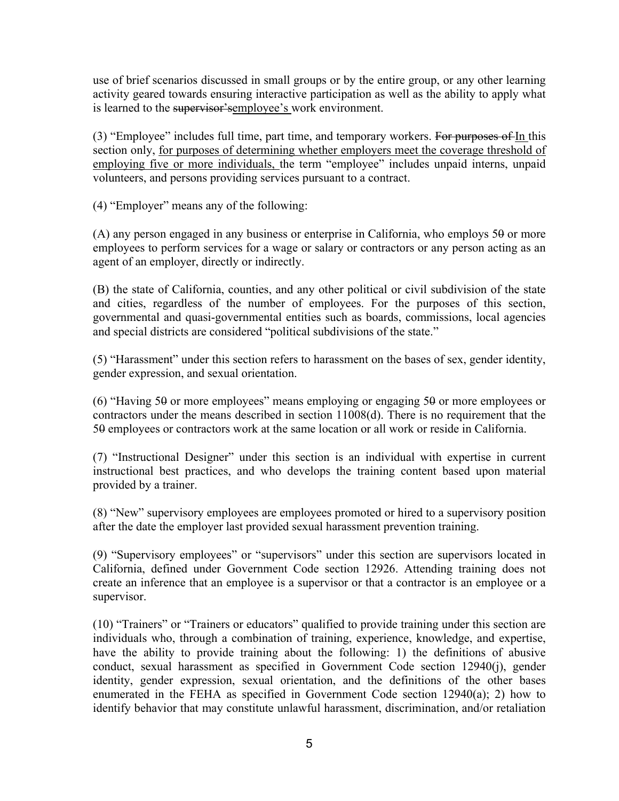use of brief scenarios discussed in small groups or by the entire group, or any other learning activity geared towards ensuring interactive participation as well as the ability to apply what is learned to the supervisor's employee's work environment.

 $(3)$  "Employee" includes full time, part time, and temporary workers. For purposes of In this section only, for purposes of determining whether employers meet the coverage threshold of employing five or more individuals, the term "employee" includes unpaid interns, unpaid volunteers, and persons providing services pursuant to a contract.

(4) "Employer" means any of the following:

(A) any person engaged in any business or enterprise in California, who employs  $50$  or more employees to perform services for a wage or salary or contractors or any person acting as an agent of an employer, directly or indirectly.

(B) the state of California, counties, and any other political or civil subdivision of the state and cities, regardless of the number of employees. For the purposes of this section, governmental and quasi-governmental entities such as boards, commissions, local agencies and special districts are considered "political subdivisions of the state."

(5) "Harassment" under this section refers to harassment on the bases of sex, gender identity, gender expression, and sexual orientation.

(6) "Having 50 or more employees" means employing or engaging 50 or more employees or contractors under the means described in section 11008(d). There is no requirement that the 50 employees or contractors work at the same location or all work or reside in California.

(7) "Instructional Designer" under this section is an individual with expertise in current instructional best practices, and who develops the training content based upon material provided by a trainer.

(8) "New" supervisory employees are employees promoted or hired to a supervisory position after the date the employer last provided sexual harassment prevention training.

(9) "Supervisory employees" or "supervisors" under this section are supervisors located in California, defined under Government Code section 12926. Attending training does not create an inference that an employee is a supervisor or that a contractor is an employee or a supervisor.

(10) "Trainers" or "Trainers or educators" qualified to provide training under this section are individuals who, through a combination of training, experience, knowledge, and expertise, have the ability to provide training about the following: 1) the definitions of abusive conduct, sexual harassment as specified in Government Code section 12940(j), gender identity, gender expression, sexual orientation, and the definitions of the other bases enumerated in the FEHA as specified in Government Code section 12940(a); 2) how to identify behavior that may constitute unlawful harassment, discrimination, and/or retaliation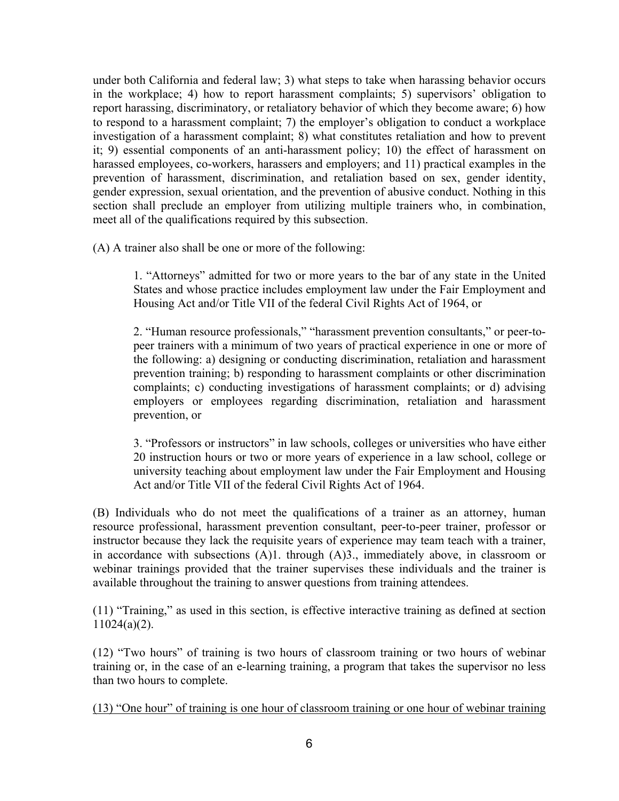under both California and federal law; 3) what steps to take when harassing behavior occurs in the workplace; 4) how to report harassment complaints; 5) supervisors' obligation to report harassing, discriminatory, or retaliatory behavior of which they become aware; 6) how to respond to a harassment complaint; 7) the employer's obligation to conduct a workplace investigation of a harassment complaint; 8) what constitutes retaliation and how to prevent it; 9) essential components of an anti-harassment policy; 10) the effect of harassment on harassed employees, co-workers, harassers and employers; and 11) practical examples in the prevention of harassment, discrimination, and retaliation based on sex, gender identity, gender expression, sexual orientation, and the prevention of abusive conduct. Nothing in this section shall preclude an employer from utilizing multiple trainers who, in combination, meet all of the qualifications required by this subsection.

(A) A trainer also shall be one or more of the following:

1. "Attorneys" admitted for two or more years to the bar of any state in the United States and whose practice includes employment law under the Fair Employment and Housing Act and/or Title VII of the federal Civil Rights Act of 1964, or

2. "Human resource professionals," "harassment prevention consultants," or peer-topeer trainers with a minimum of two years of practical experience in one or more of the following: a) designing or conducting discrimination, retaliation and harassment prevention training; b) responding to harassment complaints or other discrimination complaints; c) conducting investigations of harassment complaints; or d) advising employers or employees regarding discrimination, retaliation and harassment prevention, or

3. "Professors or instructors" in law schools, colleges or universities who have either 20 instruction hours or two or more years of experience in a law school, college or university teaching about employment law under the Fair Employment and Housing Act and/or Title VII of the federal Civil Rights Act of 1964.

(B) Individuals who do not meet the qualifications of a trainer as an attorney, human resource professional, harassment prevention consultant, peer-to-peer trainer, professor or instructor because they lack the requisite years of experience may team teach with a trainer, in accordance with subsections (A)1. through (A)3., immediately above, in classroom or webinar trainings provided that the trainer supervises these individuals and the trainer is available throughout the training to answer questions from training attendees.

(11) "Training," as used in this section, is effective interactive training as defined at section 11024(a)(2).

(12) "Two hours" of training is two hours of classroom training or two hours of webinar training or, in the case of an e-learning training, a program that takes the supervisor no less than two hours to complete.

(13) "One hour" of training is one hour of classroom training or one hour of webinar training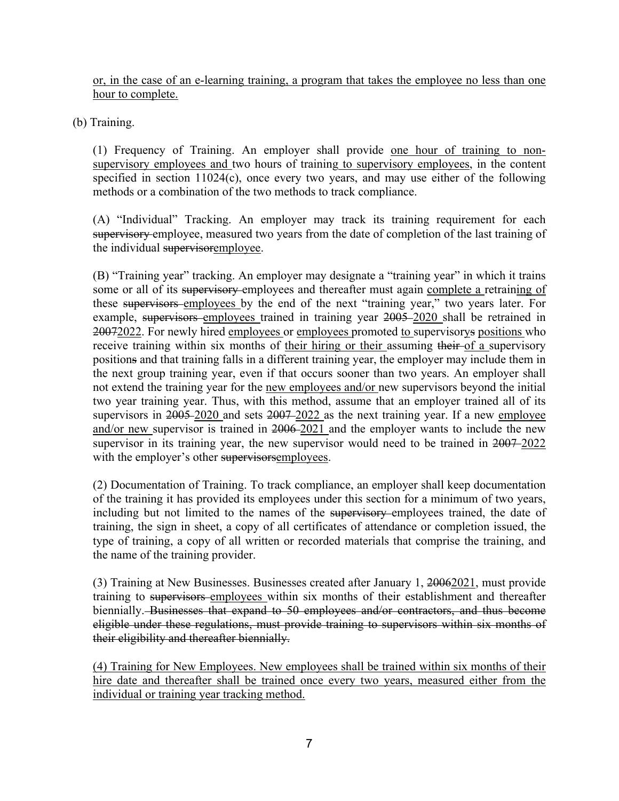or, in the case of an e-learning training, a program that takes the employee no less than one hour to complete.

(b) Training.

(1) Frequency of Training. An employer shall provide one hour of training to nonsupervisory employees and two hours of training to supervisory employees, in the content specified in section 11024(c), once every two years, and may use either of the following methods or a combination of the two methods to track compliance.

(A) "Individual" Tracking. An employer may track its training requirement for each supervisory employee, measured two years from the date of completion of the last training of the individual supervisoremployee.

(B) "Training year" tracking. An employer may designate a "training year" in which it trains some or all of its supervisory employees and thereafter must again complete a retraining of these supervisors employees by the end of the next "training year," two years later. For example, supervisors employees trained in training year 2005–2020 shall be retrained in 20072022. For newly hired employees or employees promoted to supervisorys positions who receive training within six months of their hiring or their assuming their of a supervisory positions and that training falls in a different training year, the employer may include them in the next group training year, even if that occurs sooner than two years. An employer shall not extend the training year for the new employees and/or new supervisors beyond the initial two year training year. Thus, with this method, assume that an employer trained all of its supervisors in  $2005 - 2020$  and sets  $2007 - 2022$  as the next training year. If a new employee and/or new supervisor is trained in 2006 2021 and the employer wants to include the new supervisor in its training year, the new supervisor would need to be trained in 2007–2022 with the employer's other supervisors employees.

(2) Documentation of Training. To track compliance, an employer shall keep documentation of the training it has provided its employees under this section for a minimum of two years, including but not limited to the names of the supervisory employees trained, the date of training, the sign in sheet, a copy of all certificates of attendance or completion issued, the type of training, a copy of all written or recorded materials that comprise the training, and the name of the training provider.

(3) Training at New Businesses. Businesses created after January 1, 20062021, must provide training to supervisors employees within six months of their establishment and thereafter biennially. Businesses that expand to 50 employees and/or contractors, and thus become eligible under these regulations, must provide training to supervisors within six months of their eligibility and thereafter biennially.

(4) Training for New Employees. New employees shall be trained within six months of their hire date and thereafter shall be trained once every two years, measured either from the individual or training year tracking method.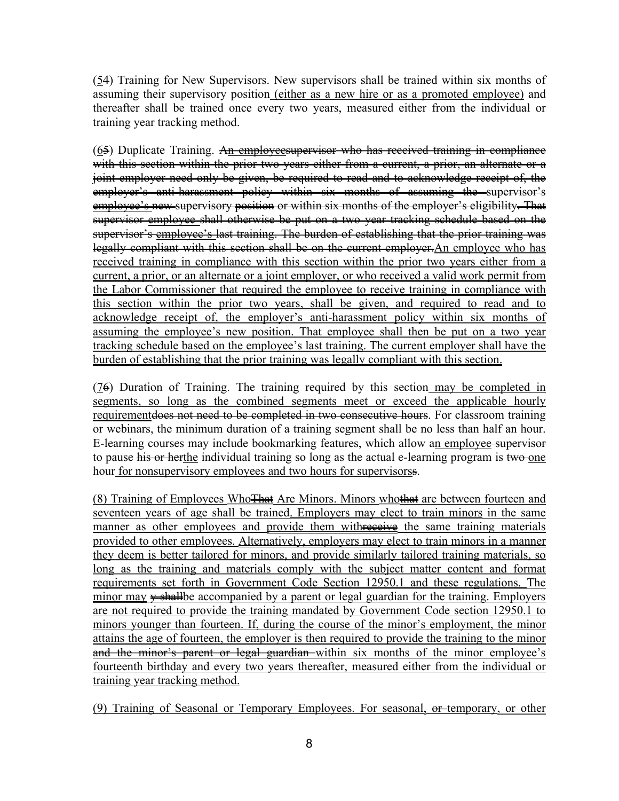(54) Training for New Supervisors. New supervisors shall be trained within six months of assuming their supervisory position (either as a new hire or as a promoted employee) and thereafter shall be trained once every two years, measured either from the individual or training year tracking method.

 $(65)$  Duplicate Training. An employeesupervisor who has received training in compliance with this section within the prior two years either from a current, a prior, an alternate or a joint employer need only be given, be required to read and to acknowledge receipt of, the employer's anti-harassment policy within six months of assuming the supervisor's employee's new supervisory position or within six months of the employer's eligibility. That supervisor employee shall otherwise be put on a two year tracking schedule based on the supervisor's employee's last training. The burden of establishing that the prior training was legally compliant with this section shall be on the current employer. An employee who has received training in compliance with this section within the prior two years either from a current, a prior, or an alternate or a joint employer, or who received a valid work permit from the Labor Commissioner that required the employee to receive training in compliance with this section within the prior two years, shall be given, and required to read and to acknowledge receipt of, the employer's anti-harassment policy within six months of assuming the employee's new position. That employee shall then be put on a two year tracking schedule based on the employee's last training. The current employer shall have the burden of establishing that the prior training was legally compliant with this section.

(76) Duration of Training. The training required by this section may be completed in segments, so long as the combined segments meet or exceed the applicable hourly requirement does not need to be completed in two consecutive hours. For classroom training or webinars, the minimum duration of a training segment shall be no less than half an hour. E-learning courses may include bookmarking features, which allow an employee supervisor to pause his or herthe individual training so long as the actual e-learning program is two one hour for nonsupervisory employees and two hours for supervisorss.

(8) Training of Employees Who<del>That</del> Are Minors. Minors whothat are between fourteen and seventeen years of age shall be trained. Employers may elect to train minors in the same manner as other employees and provide them with receive the same training materials provided to other employees. Alternatively, employers may elect to train minors in a manner they deem is better tailored for minors, and provide similarly tailored training materials, so long as the training and materials comply with the subject matter content and format requirements set forth in Government Code Section 12950.1 and these regulations. The minor may  $\frac{1}{2}$  shall be accompanied by a parent or legal guardian for the training. Employers are not required to provide the training mandated by Government Code section 12950.1 to minors younger than fourteen. If, during the course of the minor's employment, the minor attains the age of fourteen, the employer is then required to provide the training to the minor and the minor's parent or legal guardian within six months of the minor employee's fourteenth birthday and every two years thereafter, measured either from the individual or training year tracking method.

(9) Training of Seasonal or Temporary Employees. For seasonal,  $\theta$  temporary, or other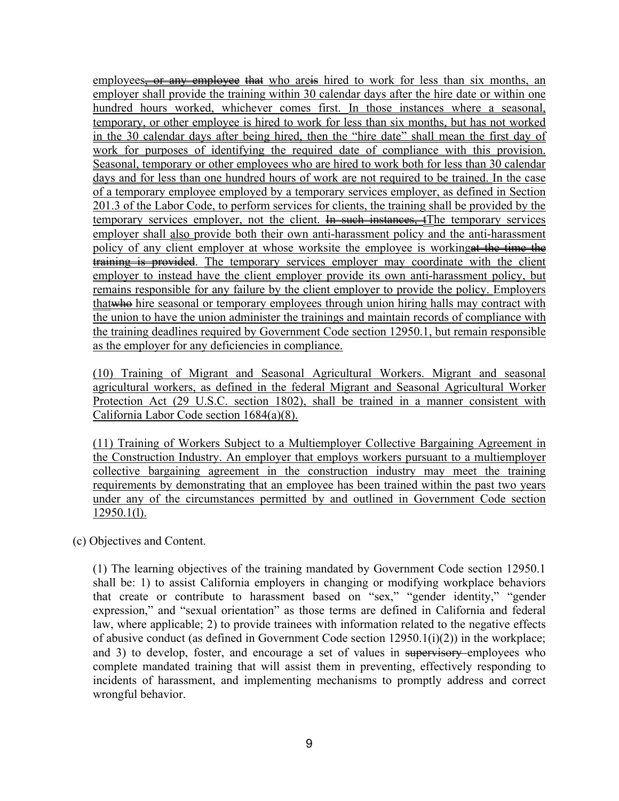employees, or any employee that who are is hired to work for less than six months, an employer shall provide the training within 30 calendar days after the hire date or within one hundred hours worked, whichever comes first. In those instances where a seasonal, temporary, or other employee is hired to work for less than six months, but has not worked in the 30 calendar days after being hired, then the "hire date" shall mean the first day of work for purposes of identifying the required date of compliance with this provision. Seasonal, temporary or other employees who are hired to work both for less than 30 calendar days and for less than one hundred hours of work are not required to be trained. In the case of a temporary employee employed by a temporary services employer, as defined in Section 201.3 of the Labor Code, to perform services for clients, the training shall be provided by the temporary services employer, not the client. In such instances, the temporary services employer shall also provide both their own anti-harassment policy and the anti-harassment policy of any client employer at whose worksite the employee is working at the time the training is provided. The temporary services employer may coordinate with the client employer to instead have the client employer provide its own anti-harassment policy, but remains responsible for any failure by the client employer to provide the policy. Employers that whe hire seasonal or temporary employees through union hiring halls may contract with the union to have the union administer the trainings and maintain records of compliance with the training deadlines required by Government Code section 12950.1, but remain responsible as the employer for any deficiencies in compliance.

(10) Training of Migrant and Seasonal Agricultural Workers. Migrant and seasonal agricultural workers, as defined in the federal Migrant and Seasonal Agricultural Worker Protection Act (29 U.S.C. section 1802), shall be trained in a manner consistent with California Labor Code section 1684(a)(8).

(11) Training of Workers Subject to a Multiemployer Collective Bargaining Agreement in the Construction Industry. An employer that employs workers pursuant to a multiemployer collective bargaining agreement in the construction industry may meet the training requirements by demonstrating that an employee has been trained within the past two years under any of the circumstances permitted by and outlined in Government Code section 12950.1(l).

(c) Objectives and Content.

(1) The learning objectives of the training mandated by Government Code section 12950.1 shall be: 1) to assist California employers in changing or modifying workplace behaviors that create or contribute to harassment based on "sex," "gender identity," "gender expression," and "sexual orientation" as those terms are defined in California and federal law, where applicable; 2) to provide trainees with information related to the negative effects of abusive conduct (as defined in Government Code section  $12950.1(i)(2)$ ) in the workplace; and 3) to develop, foster, and encourage a set of values in supervisory employees who complete mandated training that will assist them in preventing, effectively responding to incidents of harassment, and implementing mechanisms to promptly address and correct wrongful behavior.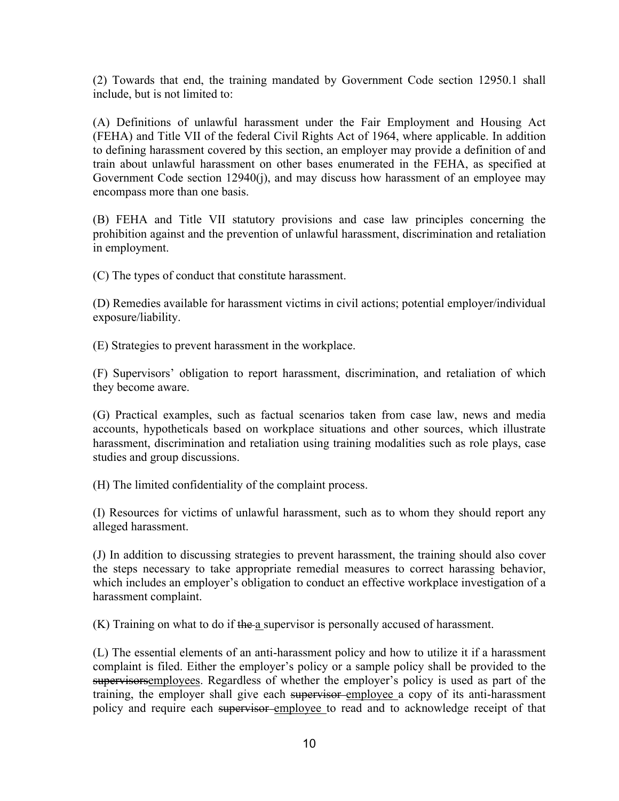(2) Towards that end, the training mandated by Government Code section 12950.1 shall include, but is not limited to:

(A) Definitions of unlawful harassment under the Fair Employment and Housing Act (FEHA) and Title VII of the federal Civil Rights Act of 1964, where applicable. In addition to defining harassment covered by this section, an employer may provide a definition of and train about unlawful harassment on other bases enumerated in the FEHA, as specified at Government Code section 12940(j), and may discuss how harassment of an employee may encompass more than one basis.

(B) FEHA and Title VII statutory provisions and case law principles concerning the prohibition against and the prevention of unlawful harassment, discrimination and retaliation in employment.

(C) The types of conduct that constitute harassment.

(D) Remedies available for harassment victims in civil actions; potential employer/individual exposure/liability.

(E) Strategies to prevent harassment in the workplace.

(F) Supervisors' obligation to report harassment, discrimination, and retaliation of which they become aware.

(G) Practical examples, such as factual scenarios taken from case law, news and media accounts, hypotheticals based on workplace situations and other sources, which illustrate harassment, discrimination and retaliation using training modalities such as role plays, case studies and group discussions.

(H) The limited confidentiality of the complaint process.

(I) Resources for victims of unlawful harassment, such as to whom they should report any alleged harassment.

(J) In addition to discussing strategies to prevent harassment, the training should also cover the steps necessary to take appropriate remedial measures to correct harassing behavior, which includes an employer's obligation to conduct an effective workplace investigation of a harassment complaint.

(K) Training on what to do if the a supervisor is personally accused of harassment.

(L) The essential elements of an anti-harassment policy and how to utilize it if a harassment complaint is filed. Either the employer's policy or a sample policy shall be provided to the supervisorsemployees. Regardless of whether the employer's policy is used as part of the training, the employer shall give each supervisor-employee a copy of its anti-harassment policy and require each supervisor employee to read and to acknowledge receipt of that